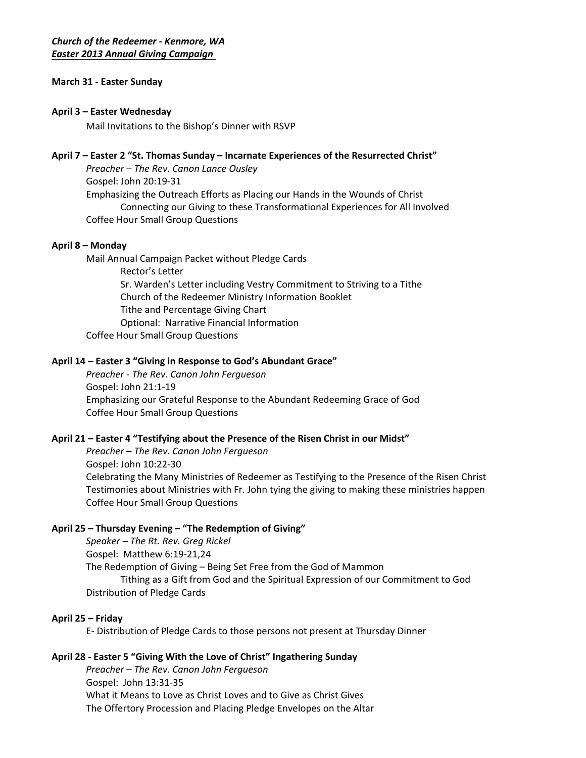## **March 31 - Easter Sunday**

### **April 3 – Easter Wednesday**

Mail Invitations to the Bishop's Dinner with RSVP

## **April 7 – Easter 2 "St. Thomas Sunday – Incarnate Experiences of the Resurrected Christ"**

*Preacher – The Rev. Canon Lance Ousley* Gospel: [John 20:19-31](http://www.lectionarypage.net/YearC_RCL/Easter/CEaster2_RCL.html) Emphasizing the Outreach Efforts as Placing our Hands in the Wounds of Christ Connecting our Giving to these Transformational Experiences for All Involved Coffee Hour Small Group Questions

## **April 8 – Monday**

Mail Annual Campaign Packet without Pledge Cards Rector's Letter Sr. Warden's Letter including Vestry Commitment to Striving to a Tithe Church of the Redeemer Ministry Information Booklet Tithe and Percentage Giving Chart Optional: Narrative Financial Information Coffee Hour Small Group Questions

## **April 14 – Easter 3 "Giving in Response to God's Abundant Grace"**

*Preacher - The Rev. Canon John Fergueson* Gospel: [John 21:1-19](http://www.lectionarypage.net/YearC_RCL/Easter/CEaster2_RCL.html) Emphasizing our Grateful Response to the Abundant Redeeming Grace of God Coffee Hour Small Group Questions

#### **April 21 – Easter 4 "Testifying about the Presence of the Risen Christ in our Midst"**

*Preacher – The Rev. Canon John Fergueson* Gospel: [John 10:22-30](http://www.lectionarypage.net/YearC_RCL/Easter/CEaster2_RCL.html) Celebrating the Many Ministries of Redeemer as Testifying to the Presence of the Risen Christ Testimonies about Ministries with Fr. John tying the giving to making these ministries happen Coffee Hour Small Group Questions

## **April 25 – Thursday Evening – "The Redemption of Giving"**

*Speaker – The Rt. Rev. Greg Rickel* Gospel: Matthew 6:19-21,24 The Redemption of Giving – Being Set Free from the God of Mammon Tithing as a Gift from God and the Spiritual Expression of our Commitment to God Distribution of Pledge Cards

## **April 25 – Friday**

E- Distribution of Pledge Cards to those persons not present at Thursday Dinner

## **April 28 - Easter 5 "Giving With the Love of Christ" Ingathering Sunday**

*Preacher – The Rev. Canon John Fergueson* Gospel: [John 13:31](http://www.lectionarypage.net/YearC_RCL/Easter/CEaster2_RCL.html)-35 What it Means to Love as Christ Loves and to Give as Christ Gives The Offertory Procession and Placing Pledge Envelopes on the Altar